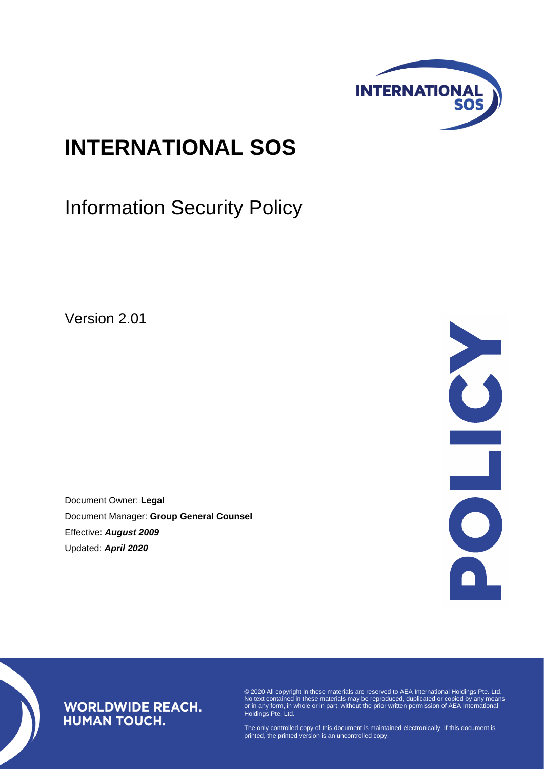

# **INTERNATIONAL SOS**

Information Security Policy

Version 2.01

Document Owner: **Legal** Document Manager: **Group General Counsel** Effective: *August 2009* Updated: *April 2020*



### **WORLDWIDE REACH. HUMAN TOUCH.**

© 2020 All copyright in these materials are reserved to AEA International Holdings Pte. Ltd. No text contained in these materials may be reproduced, duplicated or copied by any means or in any form, in whole or in part, without the prior written permission of AEA International Holdings Pte. Ltd.

The only controlled copy of this document is maintained electronically. If this document is printed, the printed version is an uncontrolled copy.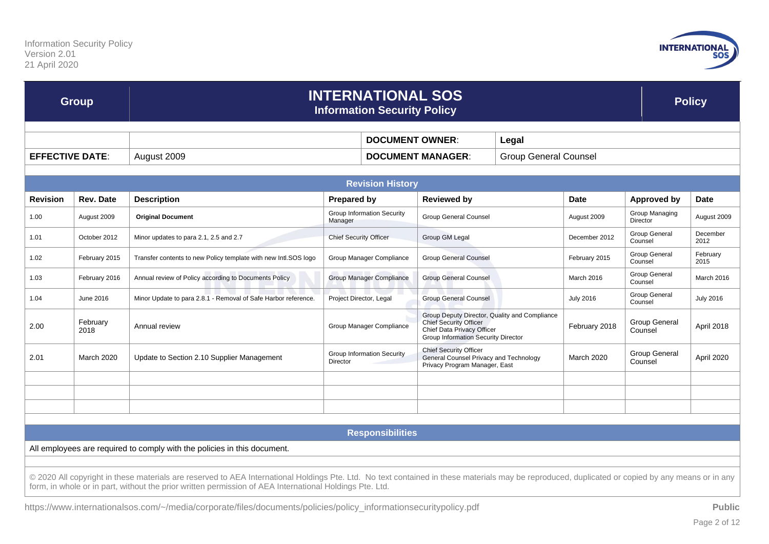

| <b>Group</b>           |                  | <b>INTERNATIONAL SOS</b><br><b>Information Security Policy</b>                                                                                                                                                                                                                                              |                                               |                          |                                                                                                          |                                               |                  |                                   | <b>Policy</b>    |  |
|------------------------|------------------|-------------------------------------------------------------------------------------------------------------------------------------------------------------------------------------------------------------------------------------------------------------------------------------------------------------|-----------------------------------------------|--------------------------|----------------------------------------------------------------------------------------------------------|-----------------------------------------------|------------------|-----------------------------------|------------------|--|
|                        |                  |                                                                                                                                                                                                                                                                                                             | <b>DOCUMENT OWNER:</b>                        |                          | Legal                                                                                                    |                                               |                  |                                   |                  |  |
| <b>EFFECTIVE DATE:</b> |                  | August 2009                                                                                                                                                                                                                                                                                                 |                                               | <b>DOCUMENT MANAGER:</b> |                                                                                                          | <b>Group General Counsel</b>                  |                  |                                   |                  |  |
|                        |                  |                                                                                                                                                                                                                                                                                                             |                                               | <b>Revision History</b>  |                                                                                                          |                                               |                  |                                   |                  |  |
| <b>Revision</b>        | <b>Rev. Date</b> | <b>Description</b>                                                                                                                                                                                                                                                                                          | <b>Prepared by</b>                            |                          | <b>Reviewed by</b>                                                                                       |                                               | <b>Date</b>      | <b>Approved by</b>                | <b>Date</b>      |  |
| 1.00                   | August 2009      | <b>Original Document</b>                                                                                                                                                                                                                                                                                    | <b>Group Information Security</b><br>Manager  |                          | <b>Group General Counsel</b>                                                                             |                                               | August 2009      | Group Managing<br><b>Director</b> | August 2009      |  |
| 1.01                   | October 2012     | Minor updates to para 2.1, 2.5 and 2.7                                                                                                                                                                                                                                                                      | <b>Chief Security Officer</b>                 |                          | Group GM Legal                                                                                           |                                               | December 2012    | Group General<br>Counsel          | December<br>2012 |  |
| 1.02                   | February 2015    | Transfer contents to new Policy template with new Intl.SOS logo                                                                                                                                                                                                                                             | Group Manager Compliance                      |                          | <b>Group General Counsel</b>                                                                             |                                               | February 2015    | Group General<br>Counsel          | February<br>2015 |  |
| 1.03                   | February 2016    | Annual review of Policy according to Documents Policy                                                                                                                                                                                                                                                       | Group Manager Compliance                      |                          | <b>Group General Counsel</b>                                                                             |                                               | March 2016       | Group General<br>Counsel          | March 2016       |  |
| 1.04                   | June 2016        | Minor Update to para 2.8.1 - Removal of Safe Harbor reference.                                                                                                                                                                                                                                              | Project Director, Legal                       |                          | <b>Group General Counsel</b>                                                                             |                                               | <b>July 2016</b> | Group General<br>Counsel          | <b>July 2016</b> |  |
| 2.00                   | February<br>2018 | Annual review                                                                                                                                                                                                                                                                                               | Group Manager Compliance                      |                          | <b>Chief Security Officer</b><br>Chief Data Privacy Officer<br>Group Information Security Director       | Group Deputy Director, Quality and Compliance | February 2018    | <b>Group General</b><br>Counsel   | April 2018       |  |
| 2.01                   | March 2020       | Update to Section 2.10 Supplier Management                                                                                                                                                                                                                                                                  | <b>Group Information Security</b><br>Director |                          | <b>Chief Security Officer</b><br>General Counsel Privacy and Technology<br>Privacy Program Manager, East |                                               | March 2020       | <b>Group General</b><br>Counsel   | April 2020       |  |
|                        |                  |                                                                                                                                                                                                                                                                                                             |                                               |                          |                                                                                                          |                                               |                  |                                   |                  |  |
|                        |                  |                                                                                                                                                                                                                                                                                                             |                                               |                          |                                                                                                          |                                               |                  |                                   |                  |  |
|                        |                  |                                                                                                                                                                                                                                                                                                             |                                               |                          |                                                                                                          |                                               |                  |                                   |                  |  |
|                        |                  |                                                                                                                                                                                                                                                                                                             |                                               | <b>Responsibilities</b>  |                                                                                                          |                                               |                  |                                   |                  |  |
|                        |                  | All employees are required to comply with the policies in this document.                                                                                                                                                                                                                                    |                                               |                          |                                                                                                          |                                               |                  |                                   |                  |  |
|                        |                  | © 2020 All copyright in these materials are reserved to AEA International Holdings Pte. Ltd. No text contained in these materials may be reproduced, duplicated or copied by any means or in any<br>form, in whole or in part, without the prior written permission of AEA International Holdings Pte. Ltd. |                                               |                          |                                                                                                          |                                               |                  |                                   |                  |  |
|                        |                  | https://www.internationalsos.com/~/media/corporate/files/documents/policies/policy_informationsecuritypolicy.pdf                                                                                                                                                                                            |                                               |                          |                                                                                                          |                                               |                  |                                   | <b>Public</b>    |  |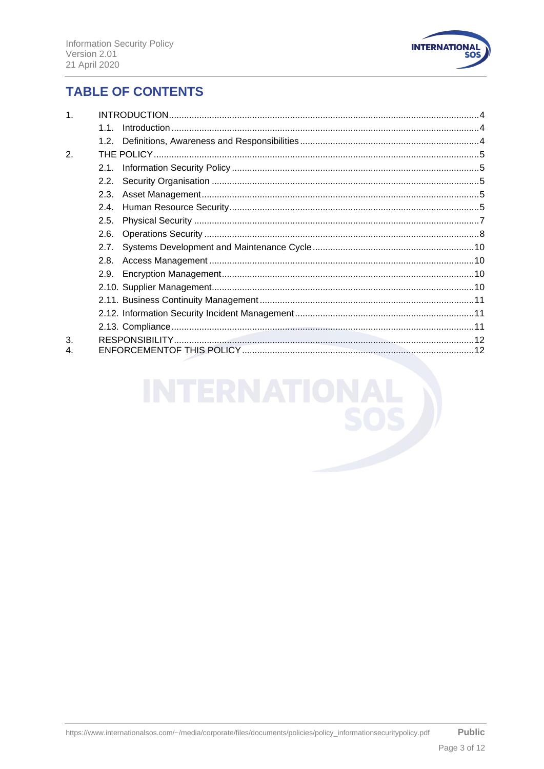

## **TABLE OF CONTENTS**

| $\mathbf{1}$ |      |  |  |  |  |
|--------------|------|--|--|--|--|
|              | 11   |  |  |  |  |
|              |      |  |  |  |  |
| 2.           |      |  |  |  |  |
|              | 2.1. |  |  |  |  |
|              | 2.2. |  |  |  |  |
|              | 2.3. |  |  |  |  |
|              | 2.4. |  |  |  |  |
|              | 2.5. |  |  |  |  |
|              | 2.6. |  |  |  |  |
|              | 2.7. |  |  |  |  |
|              | 2.8. |  |  |  |  |
|              |      |  |  |  |  |
|              |      |  |  |  |  |
|              |      |  |  |  |  |
|              |      |  |  |  |  |
|              |      |  |  |  |  |
| 3.           |      |  |  |  |  |
| 4.           |      |  |  |  |  |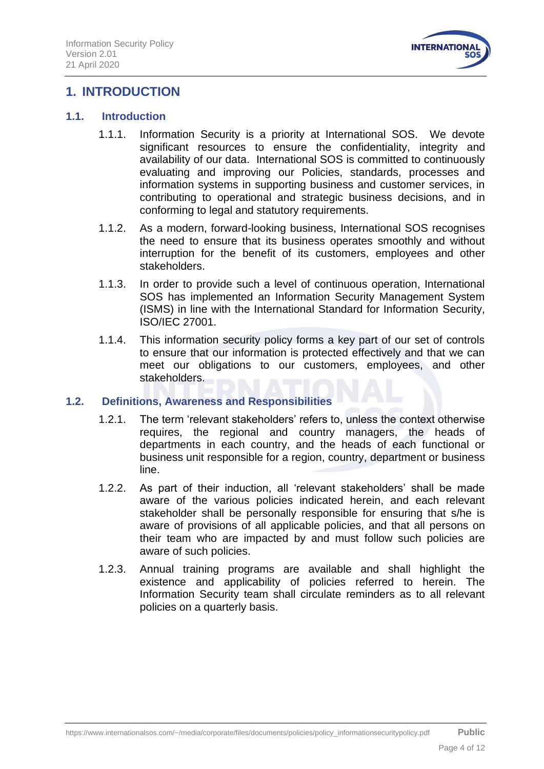

## <span id="page-3-0"></span>**1. INTRODUCTION**

#### <span id="page-3-1"></span>**1.1. Introduction**

- 1.1.1. Information Security is a priority at International SOS. We devote significant resources to ensure the confidentiality, integrity and availability of our data. International SOS is committed to continuously evaluating and improving our Policies, standards, processes and information systems in supporting business and customer services, in contributing to operational and strategic business decisions, and in conforming to legal and statutory requirements.
- 1.1.2. As a modern, forward-looking business, International SOS recognises the need to ensure that its business operates smoothly and without interruption for the benefit of its customers, employees and other stakeholders.
- 1.1.3. In order to provide such a level of continuous operation, International SOS has implemented an Information Security Management System (ISMS) in line with the International Standard for Information Security, ISO/IEC 27001.
- 1.1.4. This information security policy forms a key part of our set of controls to ensure that our information is protected effectively and that we can meet our obligations to our customers, employees, and other stakeholders.

#### <span id="page-3-2"></span>**1.2. Definitions, Awareness and Responsibilities**

- 1.2.1. The term 'relevant stakeholders' refers to, unless the context otherwise requires, the regional and country managers, the heads of departments in each country, and the heads of each functional or business unit responsible for a region, country, department or business line.
- 1.2.2. As part of their induction, all 'relevant stakeholders' shall be made aware of the various policies indicated herein, and each relevant stakeholder shall be personally responsible for ensuring that s/he is aware of provisions of all applicable policies, and that all persons on their team who are impacted by and must follow such policies are aware of such policies.
- 1.2.3. Annual training programs are available and shall highlight the existence and applicability of policies referred to herein. The Information Security team shall circulate reminders as to all relevant policies on a quarterly basis.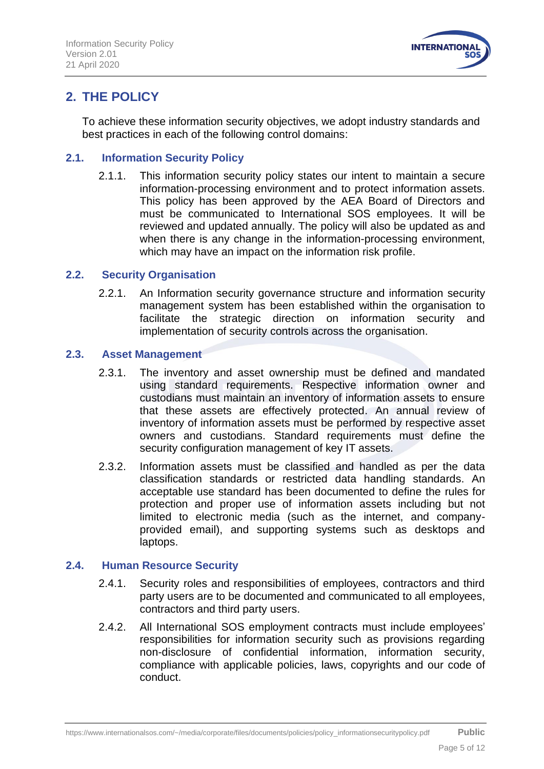

# <span id="page-4-0"></span>**2. THE POLICY**

To achieve these information security objectives, we adopt industry standards and best practices in each of the following control domains:

#### <span id="page-4-1"></span>**2.1. Information Security Policy**

2.1.1. This information security policy states our intent to maintain a secure information-processing environment and to protect information assets. This policy has been approved by the AEA Board of Directors and must be communicated to International SOS employees. It will be reviewed and updated annually. The policy will also be updated as and when there is any change in the information-processing environment, which may have an impact on the information risk profile.

#### <span id="page-4-2"></span>**2.2. Security Organisation**

2.2.1. An Information security governance structure and information security management system has been established within the organisation to facilitate the strategic direction on information security and implementation of security controls across the organisation.

#### <span id="page-4-3"></span>**2.3. Asset Management**

- 2.3.1. The inventory and asset ownership must be defined and mandated using standard requirements. Respective information owner and custodians must maintain an inventory of information assets to ensure that these assets are effectively protected. An annual review of inventory of information assets must be performed by respective asset owners and custodians. Standard requirements must define the security configuration management of key IT assets.
- 2.3.2. Information assets must be classified and handled as per the data classification standards or restricted data handling standards. An acceptable use standard has been documented to define the rules for protection and proper use of information assets including but not limited to electronic media (such as the internet, and companyprovided email), and supporting systems such as desktops and laptops.

#### <span id="page-4-4"></span>**2.4. Human Resource Security**

- 2.4.1. Security roles and responsibilities of employees, contractors and third party users are to be documented and communicated to all employees, contractors and third party users.
- 2.4.2. All International SOS employment contracts must include employees' responsibilities for information security such as provisions regarding non-disclosure of confidential information, information security, compliance with applicable policies, laws, copyrights and our code of conduct.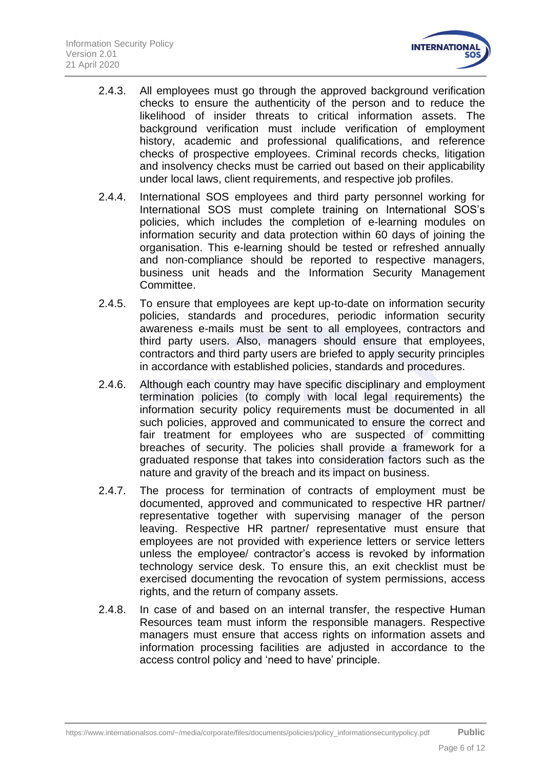

- 2.4.3. All employees must go through the approved background verification checks to ensure the authenticity of the person and to reduce the likelihood of insider threats to critical information assets. The background verification must include verification of employment history, academic and professional qualifications, and reference checks of prospective employees. Criminal records checks, litigation and insolvency checks must be carried out based on their applicability under local laws, client requirements, and respective job profiles.
- 2.4.4. International SOS employees and third party personnel working for International SOS must complete training on International SOS's policies, which includes the completion of e-learning modules on information security and data protection within 60 days of joining the organisation. This e-learning should be tested or refreshed annually and non-compliance should be reported to respective managers, business unit heads and the Information Security Management Committee.
- 2.4.5. To ensure that employees are kept up-to-date on information security policies, standards and procedures, periodic information security awareness e-mails must be sent to all employees, contractors and third party users. Also, managers should ensure that employees, contractors and third party users are briefed to apply security principles in accordance with established policies, standards and procedures.
- 2.4.6. Although each country may have specific disciplinary and employment termination policies (to comply with local legal requirements) the information security policy requirements must be documented in all such policies, approved and communicated to ensure the correct and fair treatment for employees who are suspected of committing breaches of security. The policies shall provide a framework for a graduated response that takes into consideration factors such as the nature and gravity of the breach and its impact on business.
- 2.4.7. The process for termination of contracts of employment must be documented, approved and communicated to respective HR partner/ representative together with supervising manager of the person leaving. Respective HR partner/ representative must ensure that employees are not provided with experience letters or service letters unless the employee/ contractor's access is revoked by information technology service desk. To ensure this, an exit checklist must be exercised documenting the revocation of system permissions, access rights, and the return of company assets.
- 2.4.8. In case of and based on an internal transfer, the respective Human Resources team must inform the responsible managers. Respective managers must ensure that access rights on information assets and information processing facilities are adjusted in accordance to the access control policy and 'need to have' principle.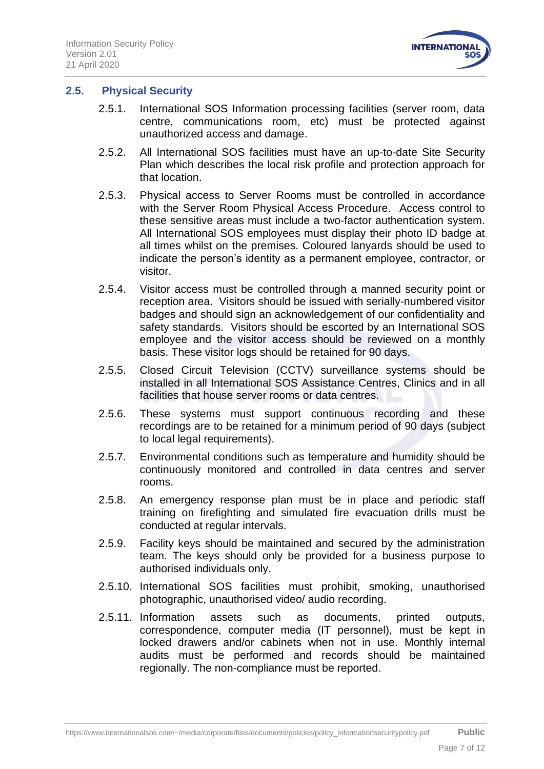

#### <span id="page-6-0"></span>**2.5. Physical Security**

- 2.5.1. International SOS Information processing facilities (server room, data centre, communications room, etc) must be protected against unauthorized access and damage.
- 2.5.2. All International SOS facilities must have an up-to-date Site Security Plan which describes the local risk profile and protection approach for that location.
- 2.5.3. Physical access to Server Rooms must be controlled in accordance with the Server Room Physical Access Procedure. Access control to these sensitive areas must include a two-factor authentication system. All International SOS employees must display their photo ID badge at all times whilst on the premises. Coloured lanyards should be used to indicate the person's identity as a permanent employee, contractor, or visitor.
- 2.5.4. Visitor access must be controlled through a manned security point or reception area. Visitors should be issued with serially-numbered visitor badges and should sign an acknowledgement of our confidentiality and safety standards. Visitors should be escorted by an International SOS employee and the visitor access should be reviewed on a monthly basis. These visitor logs should be retained for 90 days.
- 2.5.5. Closed Circuit Television (CCTV) surveillance systems should be installed in all International SOS Assistance Centres, Clinics and in all facilities that house server rooms or data centres.
- 2.5.6. These systems must support continuous recording and these recordings are to be retained for a minimum period of 90 days (subject to local legal requirements).
- 2.5.7. Environmental conditions such as temperature and humidity should be continuously monitored and controlled in data centres and server rooms.
- 2.5.8. An emergency response plan must be in place and periodic staff training on firefighting and simulated fire evacuation drills must be conducted at regular intervals.
- 2.5.9. Facility keys should be maintained and secured by the administration team. The keys should only be provided for a business purpose to authorised individuals only.
- 2.5.10. International SOS facilities must prohibit, smoking, unauthorised photographic, unauthorised video/ audio recording.
- 2.5.11. Information assets such as documents, printed outputs, correspondence, computer media (IT personnel), must be kept in locked drawers and/or cabinets when not in use. Monthly internal audits must be performed and records should be maintained regionally. The non-compliance must be reported.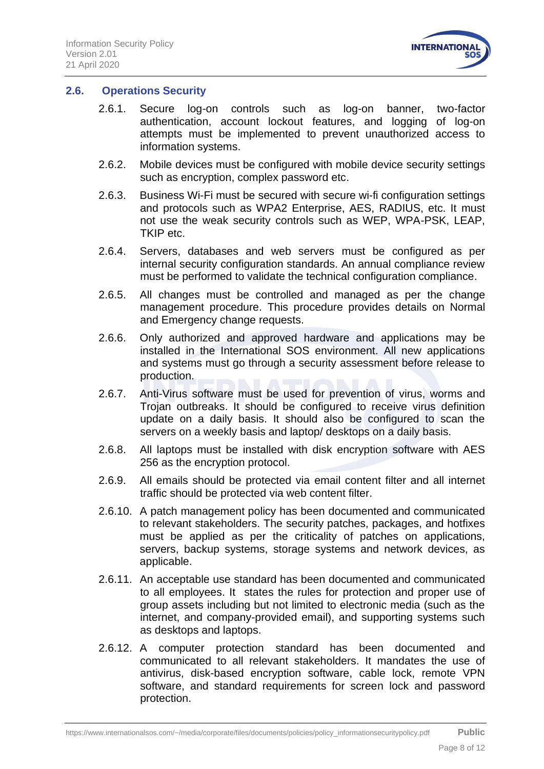

#### <span id="page-7-0"></span>**2.6. Operations Security**

- 2.6.1. Secure log-on controls such as log-on banner, two-factor authentication, account lockout features, and logging of log-on attempts must be implemented to prevent unauthorized access to information systems.
- 2.6.2. Mobile devices must be configured with mobile device security settings such as encryption, complex password etc.
- 2.6.3. Business Wi-Fi must be secured with secure wi-fi configuration settings and protocols such as WPA2 Enterprise, AES, RADIUS, etc. It must not use the weak security controls such as WEP, WPA-PSK, LEAP, TKIP etc.
- 2.6.4. Servers, databases and web servers must be configured as per internal security configuration standards. An annual compliance review must be performed to validate the technical configuration compliance.
- 2.6.5. All changes must be controlled and managed as per the change management procedure. This procedure provides details on Normal and Emergency change requests.
- 2.6.6. Only authorized and approved hardware and applications may be installed in the International SOS environment. All new applications and systems must go through a security assessment before release to production.
- 2.6.7. Anti-Virus software must be used for prevention of virus, worms and Trojan outbreaks. It should be configured to receive virus definition update on a daily basis. It should also be configured to scan the servers on a weekly basis and laptop/ desktops on a daily basis.
- 2.6.8. All laptops must be installed with disk encryption software with AES 256 as the encryption protocol.
- 2.6.9. All emails should be protected via email content filter and all internet traffic should be protected via web content filter.
- 2.6.10. A patch management policy has been documented and communicated to relevant stakeholders. The security patches, packages, and hotfixes must be applied as per the criticality of patches on applications, servers, backup systems, storage systems and network devices, as applicable.
- 2.6.11. An acceptable use standard has been documented and communicated to all employees. It states the rules for protection and proper use of group assets including but not limited to electronic media (such as the internet, and company-provided email), and supporting systems such as desktops and laptops.
- 2.6.12. A computer protection standard has been documented and communicated to all relevant stakeholders. It mandates the use of antivirus, disk-based encryption software, cable lock, remote VPN software, and standard requirements for screen lock and password protection.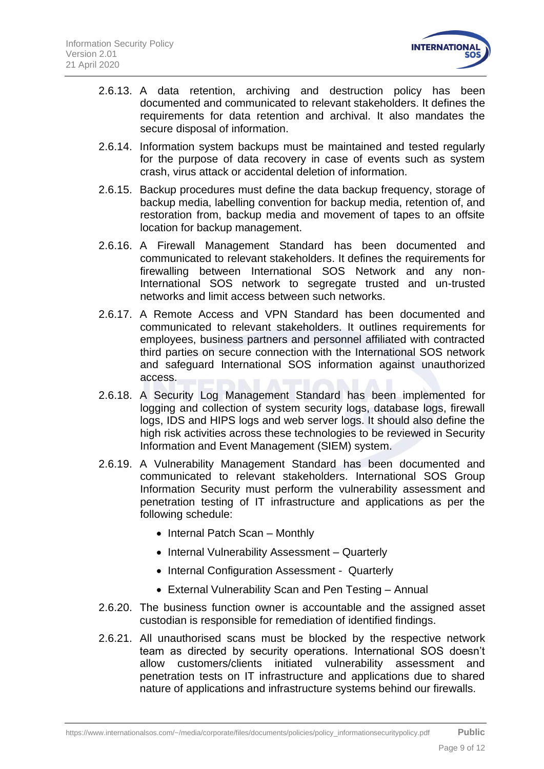

- 2.6.13. A data retention, archiving and destruction policy has been documented and communicated to relevant stakeholders. It defines the requirements for data retention and archival. It also mandates the secure disposal of information.
- 2.6.14. Information system backups must be maintained and tested regularly for the purpose of data recovery in case of events such as system crash, virus attack or accidental deletion of information.
- 2.6.15. Backup procedures must define the data backup frequency, storage of backup media, labelling convention for backup media, retention of, and restoration from, backup media and movement of tapes to an offsite location for backup management.
- 2.6.16. A Firewall Management Standard has been documented and communicated to relevant stakeholders. It defines the requirements for firewalling between International SOS Network and any non-International SOS network to segregate trusted and un-trusted networks and limit access between such networks.
- 2.6.17. A Remote Access and VPN Standard has been documented and communicated to relevant stakeholders. It outlines requirements for employees, business partners and personnel affiliated with contracted third parties on secure connection with the International SOS network and safeguard International SOS information against unauthorized access.
- 2.6.18. A Security Log Management Standard has been implemented for logging and collection of system security logs, database logs, firewall logs, IDS and HIPS logs and web server logs. It should also define the high risk activities across these technologies to be reviewed in Security Information and Event Management (SIEM) system.
- 2.6.19. A Vulnerability Management Standard has been documented and communicated to relevant stakeholders. International SOS Group Information Security must perform the vulnerability assessment and penetration testing of IT infrastructure and applications as per the following schedule:
	- Internal Patch Scan Monthly
	- Internal Vulnerability Assessment Quarterly
	- Internal Configuration Assessment Quarterly
	- External Vulnerability Scan and Pen Testing Annual
- 2.6.20. The business function owner is accountable and the assigned asset custodian is responsible for remediation of identified findings.
- 2.6.21. All unauthorised scans must be blocked by the respective network team as directed by security operations. International SOS doesn't allow customers/clients initiated vulnerability assessment and penetration tests on IT infrastructure and applications due to shared nature of applications and infrastructure systems behind our firewalls.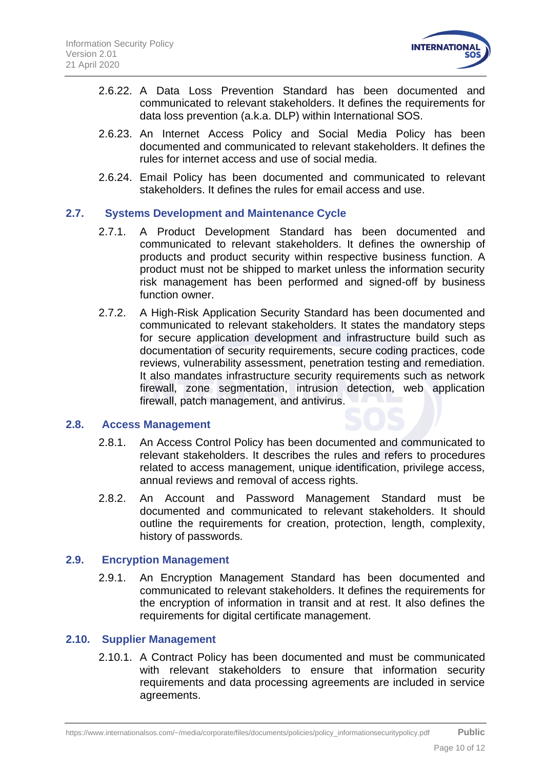

- 2.6.22. A Data Loss Prevention Standard has been documented and communicated to relevant stakeholders. It defines the requirements for data loss prevention (a.k.a. DLP) within International SOS.
- 2.6.23. An Internet Access Policy and Social Media Policy has been documented and communicated to relevant stakeholders. It defines the rules for internet access and use of social media.
- 2.6.24. Email Policy has been documented and communicated to relevant stakeholders. It defines the rules for email access and use.

#### **2.7. Systems Development and Maintenance Cycle**

- <span id="page-9-0"></span>2.7.1. A Product Development Standard has been documented and communicated to relevant stakeholders. It defines the ownership of products and product security within respective business function. A product must not be shipped to market unless the information security risk management has been performed and signed-off by business function owner.
- 2.7.2. A High-Risk Application Security Standard has been documented and communicated to relevant stakeholders. It states the mandatory steps for secure application development and infrastructure build such as documentation of security requirements, secure coding practices, code reviews, vulnerability assessment, penetration testing and remediation. It also mandates infrastructure security requirements such as network firewall, zone segmentation, intrusion detection, web application firewall, patch management, and antivirus.

#### <span id="page-9-1"></span>**2.8. Access Management**

- 2.8.1. An Access Control Policy has been documented and communicated to relevant stakeholders. It describes the rules and refers to procedures related to access management, unique identification, privilege access, annual reviews and removal of access rights.
- 2.8.2. An Account and Password Management Standard must be documented and communicated to relevant stakeholders. It should outline the requirements for creation, protection, length, complexity, history of passwords.

#### <span id="page-9-2"></span>**2.9. Encryption Management**

2.9.1. An Encryption Management Standard has been documented and communicated to relevant stakeholders. It defines the requirements for the encryption of information in transit and at rest. It also defines the requirements for digital certificate management.

#### <span id="page-9-3"></span>**2.10. Supplier Management**

2.10.1. A Contract Policy has been documented and must be communicated with relevant stakeholders to ensure that information security requirements and data processing agreements are included in service agreements.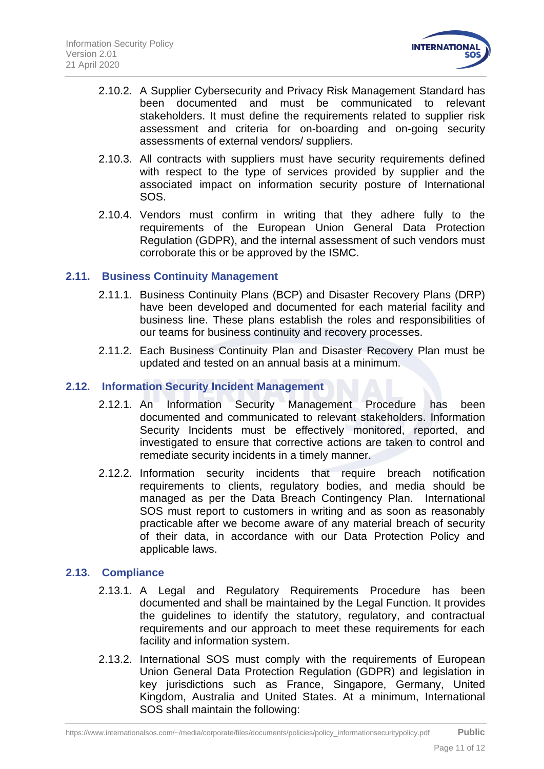

- 2.10.2. A Supplier Cybersecurity and Privacy Risk Management Standard has been documented and must be communicated to relevant stakeholders. It must define the requirements related to supplier risk assessment and criteria for on-boarding and on-going security assessments of external vendors/ suppliers.
- 2.10.3. All contracts with suppliers must have security requirements defined with respect to the type of services provided by supplier and the associated impact on information security posture of International SOS.
- 2.10.4. Vendors must confirm in writing that they adhere fully to the requirements of the European Union General Data Protection Regulation (GDPR), and the internal assessment of such vendors must corroborate this or be approved by the ISMC.

#### <span id="page-10-0"></span>**2.11. Business Continuity Management**

- 2.11.1. Business Continuity Plans (BCP) and Disaster Recovery Plans (DRP) have been developed and documented for each material facility and business line. These plans establish the roles and responsibilities of our teams for business continuity and recovery processes.
- 2.11.2. Each Business Continuity Plan and Disaster Recovery Plan must be updated and tested on an annual basis at a minimum.

#### <span id="page-10-1"></span>**2.12. Information Security Incident Management**

- 2.12.1. An Information Security Management Procedure has been documented and communicated to relevant stakeholders. Information Security Incidents must be effectively monitored, reported, and investigated to ensure that corrective actions are taken to control and remediate security incidents in a timely manner.
- 2.12.2. Information security incidents that require breach notification requirements to clients, regulatory bodies, and media should be managed as per the Data Breach Contingency Plan. International SOS must report to customers in writing and as soon as reasonably practicable after we become aware of any material breach of security of their data, in accordance with our Data Protection Policy and applicable laws.

#### <span id="page-10-2"></span>**2.13. Compliance**

- 2.13.1. A Legal and Regulatory Requirements Procedure has been documented and shall be maintained by the Legal Function. It provides the guidelines to identify the statutory, regulatory, and contractual requirements and our approach to meet these requirements for each facility and information system.
- 2.13.2. International SOS must comply with the requirements of European Union General Data Protection Regulation (GDPR) and legislation in key jurisdictions such as France, Singapore, Germany, United Kingdom, Australia and United States. At a minimum, International SOS shall maintain the following: